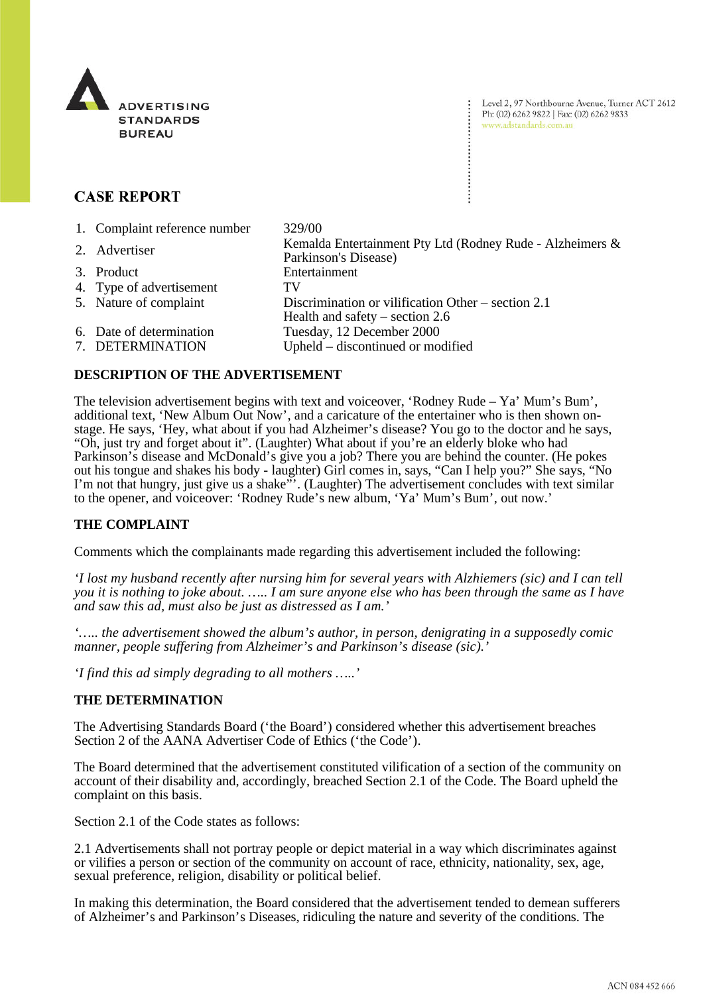

Level 2, 97 Northbourne Avenue, Turner ACT 2612 Ph: (02) 6262 9822 | Fax: (02) 6262 9833 www.adstandards.com.au

# **CASE REPORT**

| 1. Complaint reference number | 329/00                                                                            |
|-------------------------------|-----------------------------------------------------------------------------------|
| 2. Advertiser                 | Kemalda Entertainment Pty Ltd (Rodney Rude - Alzheimers &<br>Parkinson's Disease) |
| 3. Product                    | Entertainment                                                                     |
| 4. Type of advertisement      | TV                                                                                |
| 5. Nature of complaint        | Discrimination or vilification Other – section 2.1                                |
|                               | Health and safety $-$ section 2.6                                                 |
| 6. Date of determination      | Tuesday, 12 December 2000                                                         |
| 7. DETERMINATION              | Upheld – discontinued or modified                                                 |

## **DESCRIPTION OF THE ADVERTISEMENT**

The television advertisement begins with text and voiceover, 'Rodney Rude – Ya' Mum's Bum', additional text, 'New Album Out Now', and a caricature of the entertainer who is then shown onstage. He says, 'Hey, what about if you had Alzheimer's disease? You go to the doctor and he says, "Oh, just try and forget about it". (Laughter) What about if you're an elderly bloke who had Parkinson's disease and McDonald's give you a job? There you are behind the counter. (He pokes out his tongue and shakes his body - laughter) Girl comes in, says, "Can I help you?" She says, "No I'm not that hungry, just give us a shake"'. (Laughter) The advertisement concludes with text similar to the opener, and voiceover: 'Rodney Rude's new album, 'Ya' Mum's Bum', out now.'

## **THE COMPLAINT**

Comments which the complainants made regarding this advertisement included the following:

*'I lost my husband recently after nursing him for several years with Alzhiemers (sic) and I can tell you it is nothing to joke about. ….. I am sure anyone else who has been through the same as I have and saw this ad, must also be just as distressed as I am.'*

*'….. the advertisement showed the album's author, in person, denigrating in a supposedly comic manner, people suffering from Alzheimer's and Parkinson's disease (sic).'*

*'I find this ad simply degrading to all mothers …..'*

### **THE DETERMINATION**

The Advertising Standards Board ('the Board') considered whether this advertisement breaches Section 2 of the AANA Advertiser Code of Ethics ('the Code').

The Board determined that the advertisement constituted vilification of a section of the community on account of their disability and, accordingly, breached Section 2.1 of the Code. The Board upheld the complaint on this basis.

Section 2.1 of the Code states as follows:

2.1 Advertisements shall not portray people or depict material in a way which discriminates against or vilifies a person or section of the community on account of race, ethnicity, nationality, sex, age, sexual preference, religion, disability or political belief.

In making this determination, the Board considered that the advertisement tended to demean sufferers of Alzheimer's and Parkinson's Diseases, ridiculing the nature and severity of the conditions. The